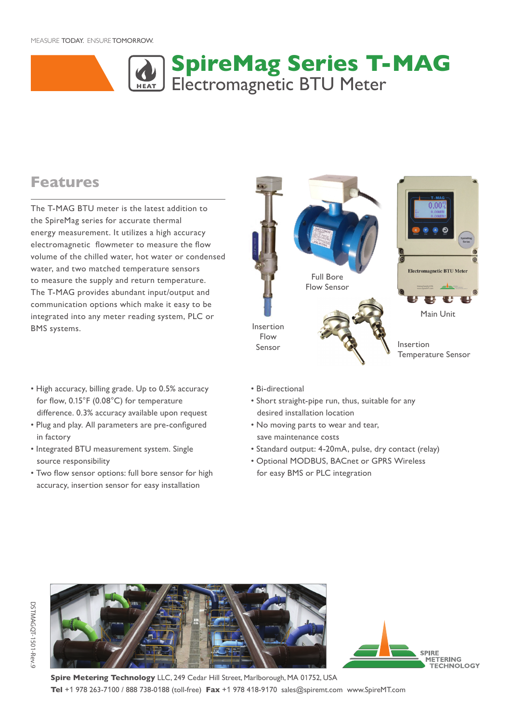#### MEASURE TODAY. ENSURE TOMORROW.



### **Features**

The T-MAG BTU meter is the latest addition to the SpireMag series for accurate thermal energy measurement. It utilizes a high accuracy electromagnetic flowmeter to measure the flow volume of the chilled water, hot water or condensed water, and two matched temperature sensors to measure the supply and return temperature. The T-MAG provides abundant input/output and communication options which make it easy to be integrated into any meter reading system, PLC or BMS systems.

- High accuracy, billing grade. Up to 0.5% accuracy for flow, 0.15°F (0.08°C) for temperature difference. 0.3% accuracy available upon request
- Plug and play. All parameters are pre-configured in factory
- Integrated BTU measurement system. Single source responsibility
- Two flow sensor options: full bore sensor for high accuracy, insertion sensor for easy installation
- Electromagnetic BTU Meter Full Bore Flow Sensor Main Unit Insertion Flow Insertion Sensor Temperature Sensor
- Bi-directional
- Short straight-pipe run, thus, suitable for any desired installation location
- No moving parts to wear and tear, save maintenance costs
- Standard output: 4-20mA, pulse, dry contact (relay)
- Optional MODBUS, BACnet or GPRS Wireless for easy BMS or PLC integration





**Spire Metering Technology** LLC, 249 Cedar Hill Street, Marlborough, MA 01752, USA **Tel** +1 978 263-7100 / 888 738-0188 (toll-free) **Fax** +1 978 418-9170 sales@spiremt.com www.SpireMT.com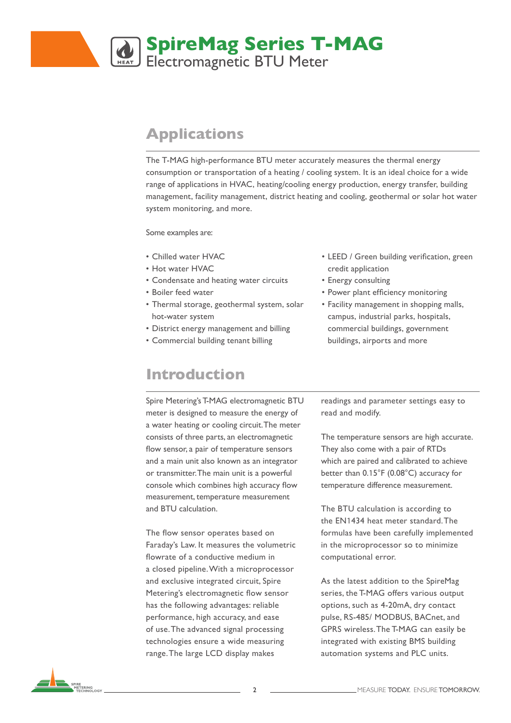# **SpireMag Series T-MAG** Electromagnetic BTU Meter

### **Applications**

The T-MAG high-performance BTU meter accurately measures the thermal energy consumption or transportation of a heating / cooling system. It is an ideal choice for a wide range of applications in HVAC, heating/cooling energy production, energy transfer, building management, facility management, district heating and cooling, geothermal or solar hot water system monitoring, and more.

Some examples are:

- Chilled water HVAC
- Hot water HVAC
- Condensate and heating water circuits
- Boiler feed water
- Thermal storage, geothermal system, solar hot-water system
- District energy management and billing
- Commercial building tenant billing

### **Introduction**

Spire Metering's T-MAG electromagnetic BTU meter is designed to measure the energy of a water heating or cooling circuit. The meter consists of three parts, an electromagnetic flow sensor, a pair of temperature sensors and a main unit also known as an integrator or transmitter. The main unit is a powerful console which combines high accuracy flow measurement, temperature measurement and BTU calculation.

The flow sensor operates based on Faraday's Law. It measures the volumetric flowrate of a conductive medium in a closed pipeline. With a microprocessor and exclusive integrated circuit, Spire Metering's electromagnetic flow sensor has the following advantages: reliable performance, high accuracy, and ease of use. The advanced signal processing technologies ensure a wide measuring range. The large LCD display makes

- LEED / Green building verification, green credit application
- Energy consulting
- Power plant efficiency monitoring
- Facility management in shopping malls, campus, industrial parks, hospitals, commercial buildings, government buildings, airports and more

readings and parameter settings easy to read and modify.

The temperature sensors are high accurate. They also come with a pair of RTDs which are paired and calibrated to achieve better than 0.15°F (0.08°C) accuracy for temperature difference measurement.

The BTU calculation is according to the EN1434 heat meter standard. The formulas have been carefully implemented in the microprocessor so to minimize computational error.

As the latest addition to the SpireMag series, the T-MAG offers various output options, such as 4-20mA, dry contact pulse, RS-485/ MODBUS, BACnet, and GPRS wireless. The T-MAG can easily be integrated with existing BMS building automation systems and PLC units.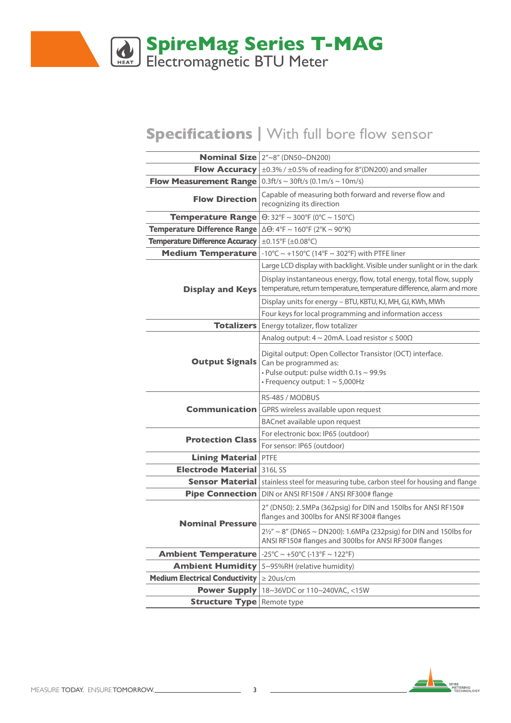

### **Specifications |** With full bore flow sensor

|                                                                          | Nominal Size $2''~8''$ (DN50~DN200)                                                                                                                                           |  |  |  |  |  |  |
|--------------------------------------------------------------------------|-------------------------------------------------------------------------------------------------------------------------------------------------------------------------------|--|--|--|--|--|--|
| <b>Flow Accuracy</b>                                                     | ±0.3% / ±0.5% of reading for 8"(DN200) and smaller                                                                                                                            |  |  |  |  |  |  |
| <b>Flow Measurement Range</b> $ 0.3ft/s \sim 30ft/s (0.1m/s \sim 10m/s)$ |                                                                                                                                                                               |  |  |  |  |  |  |
| <b>Flow Direction</b>                                                    | Capable of measuring both forward and reverse flow and<br>recognizing its direction                                                                                           |  |  |  |  |  |  |
| <b>Temperature Range</b>                                                 | $\Theta$ : 32°F ~ 300°F (0°C ~ 150°C)                                                                                                                                         |  |  |  |  |  |  |
| Temperature Difference Range                                             | $\Delta\Theta$ : 4°F ~ 160°F (2°K ~ 90°K)                                                                                                                                     |  |  |  |  |  |  |
| <b>Temperature Difference Accuracy</b>                                   | ±0.15°F (±0.08°C)                                                                                                                                                             |  |  |  |  |  |  |
| <b>Medium Temperature</b>                                                | -10°C ~ +150°C (14°F ~ 302°F) with PTFE liner                                                                                                                                 |  |  |  |  |  |  |
|                                                                          | Large LCD display with backlight. Visible under sunlight or in the dark                                                                                                       |  |  |  |  |  |  |
| <b>Display and Keys</b>                                                  | Display instantaneous energy, flow, total energy, total flow, supply<br>temperature, return temperature, temperature difference, alarm and more                               |  |  |  |  |  |  |
|                                                                          | Display units for energy - BTU, KBTU, KJ, MH, GJ, KWh, MWh                                                                                                                    |  |  |  |  |  |  |
|                                                                          | Four keys for local programming and information access                                                                                                                        |  |  |  |  |  |  |
|                                                                          | Totalizers   Energy totalizer, flow totalizer                                                                                                                                 |  |  |  |  |  |  |
|                                                                          | Analog output: $4 \sim 20$ mA. Load resistor $\leq 500\Omega$                                                                                                                 |  |  |  |  |  |  |
| <b>Output Signals</b>                                                    | Digital output: Open Collector Transistor (OCT) interface.<br>Can be programmed as:<br>. Pulse output: pulse width 0.1s ~ 99.9s<br>$\cdot$ Frequency output: 1 $\sim$ 5,000Hz |  |  |  |  |  |  |
|                                                                          | RS-485 / MODBUS                                                                                                                                                               |  |  |  |  |  |  |
| <b>Communication</b>                                                     | GPRS wireless available upon request                                                                                                                                          |  |  |  |  |  |  |
|                                                                          | BACnet available upon request                                                                                                                                                 |  |  |  |  |  |  |
|                                                                          | For electronic box: IP65 (outdoor)                                                                                                                                            |  |  |  |  |  |  |
| <b>Protection Class</b>                                                  | For sensor: IP65 (outdoor)                                                                                                                                                    |  |  |  |  |  |  |
| <b>Lining Material</b>                                                   | <b>PTFE</b>                                                                                                                                                                   |  |  |  |  |  |  |
| <b>Electrode Material</b>                                                | 316L SS                                                                                                                                                                       |  |  |  |  |  |  |
|                                                                          | Sensor Material   stainless steel for measuring tube, carbon steel for housing and flange                                                                                     |  |  |  |  |  |  |
| <b>Pipe Connection</b>                                                   | DIN or ANSI RF150# / ANSI RF300# flange                                                                                                                                       |  |  |  |  |  |  |
| <b>Nominal Pressure</b>                                                  | 2" (DN50): 2.5MPa (362psig) for DIN and 150lbs for ANSI RF150#<br>flanges and 300lbs for ANSI RF300# flanges                                                                  |  |  |  |  |  |  |
|                                                                          | $2\frac{1}{2}$ ~ 8" (DN65 ~ DN200): 1.6MPa (232psig) for DIN and 150lbs for<br>ANSI RF150# flanges and 300lbs for ANSI RF300# flanges                                         |  |  |  |  |  |  |
| <b>Ambient Temperature</b>                                               | $-25^{\circ}$ C ~ $+50^{\circ}$ C (-13 $^{\circ}$ F ~ 122 $^{\circ}$ F)                                                                                                       |  |  |  |  |  |  |
| <b>Ambient Humidity</b>                                                  | 5~95%RH (relative humidity)                                                                                                                                                   |  |  |  |  |  |  |
| <b>Medium Electrical Conductivity</b>                                    | $\geq$ 20us/cm                                                                                                                                                                |  |  |  |  |  |  |
| <b>Power Supply</b>                                                      | 18~36VDC or 110~240VAC, <15W                                                                                                                                                  |  |  |  |  |  |  |
| <b>Structure Type</b> Remote type                                        |                                                                                                                                                                               |  |  |  |  |  |  |

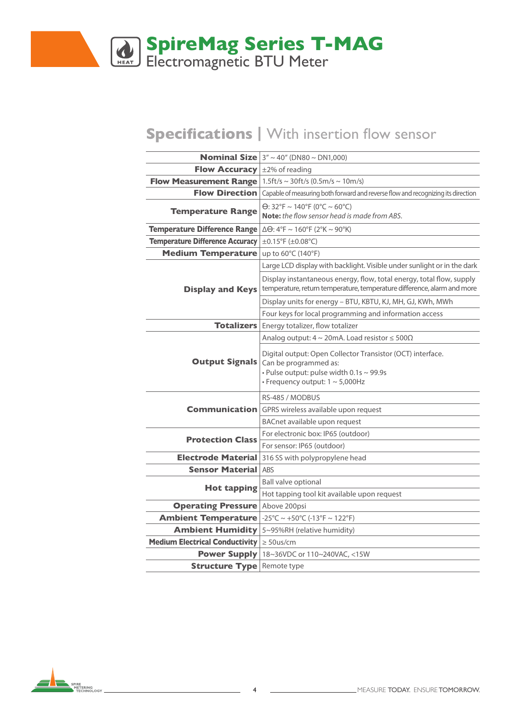

# **Specifications |** With insertion flow sensor

|                                                                             | <b>Nominal Size</b> $3'' \sim 40''$ (DN80 $\sim$ DN1,000)                                                                                                                |  |  |  |  |  |  |  |
|-----------------------------------------------------------------------------|--------------------------------------------------------------------------------------------------------------------------------------------------------------------------|--|--|--|--|--|--|--|
| <b>Flow Accuracy</b> $\pm 2\%$ of reading                                   |                                                                                                                                                                          |  |  |  |  |  |  |  |
| <b>Flow Measurement Range</b>   1.5ft/s $\sim$ 30ft/s (0.5m/s $\sim$ 10m/s) |                                                                                                                                                                          |  |  |  |  |  |  |  |
| <b>Flow Direction</b>                                                       | Capable of measuring both forward and reverse flow and recognizing its direction                                                                                         |  |  |  |  |  |  |  |
| <b>Temperature Range</b>                                                    | $\Theta$ : 32°F ~ 140°F (0°C ~ 60°C)<br><b>Note:</b> the flow sensor head is made from ABS.                                                                              |  |  |  |  |  |  |  |
| Temperature Difference Range                                                | $\Delta\Theta$ : 4°F ~ 160°F (2°K ~ 90°K)                                                                                                                                |  |  |  |  |  |  |  |
| Temperature Difference Accuracy                                             | $\pm$ 0.15°F ( $\pm$ 0.08°C)                                                                                                                                             |  |  |  |  |  |  |  |
| <b>Medium Temperature</b>                                                   | up to 60°C (140°F)                                                                                                                                                       |  |  |  |  |  |  |  |
|                                                                             | Large LCD display with backlight. Visible under sunlight or in the dark                                                                                                  |  |  |  |  |  |  |  |
| <b>Display and Keys</b>                                                     | Display instantaneous energy, flow, total energy, total flow, supply<br>temperature, return temperature, temperature difference, alarm and more                          |  |  |  |  |  |  |  |
|                                                                             | Display units for energy - BTU, KBTU, KJ, MH, GJ, KWh, MWh                                                                                                               |  |  |  |  |  |  |  |
|                                                                             | Four keys for local programming and information access                                                                                                                   |  |  |  |  |  |  |  |
| <b>Totalizers</b>                                                           | Energy totalizer, flow totalizer                                                                                                                                         |  |  |  |  |  |  |  |
|                                                                             | Analog output: $4 \sim 20$ mA. Load resistor $\leq 500\Omega$                                                                                                            |  |  |  |  |  |  |  |
| <b>Output Signals</b>                                                       | Digital output: Open Collector Transistor (OCT) interface.<br>Can be programmed as:<br>. Pulse output: pulse width 0.1s ~ 99.9s<br>$\cdot$ Frequency output: 1 ~ 5,000Hz |  |  |  |  |  |  |  |
|                                                                             | RS-485 / MODBUS                                                                                                                                                          |  |  |  |  |  |  |  |
| <b>Communication</b>                                                        | GPRS wireless available upon request                                                                                                                                     |  |  |  |  |  |  |  |
|                                                                             | BACnet available upon request                                                                                                                                            |  |  |  |  |  |  |  |
|                                                                             | For electronic box: IP65 (outdoor)                                                                                                                                       |  |  |  |  |  |  |  |
| <b>Protection Class</b>                                                     | For sensor: IP65 (outdoor)                                                                                                                                               |  |  |  |  |  |  |  |
| <b>Electrode Material</b>                                                   | 316 SS with polypropylene head                                                                                                                                           |  |  |  |  |  |  |  |
| <b>Sensor Material</b>                                                      | <b>ABS</b>                                                                                                                                                               |  |  |  |  |  |  |  |
|                                                                             | Ball valve optional                                                                                                                                                      |  |  |  |  |  |  |  |
| <b>Hot tapping</b>                                                          | Hot tapping tool kit available upon request                                                                                                                              |  |  |  |  |  |  |  |
| <b>Operating Pressure</b>                                                   | Above 200psi                                                                                                                                                             |  |  |  |  |  |  |  |
| <b>Ambient Temperature</b>                                                  | $-25^{\circ}$ C ~ +50 $^{\circ}$ C (-13 $^{\circ}$ F ~ 122 $^{\circ}$ F)                                                                                                 |  |  |  |  |  |  |  |
| <b>Ambient Humidity</b>                                                     | 5~95%RH (relative humidity)                                                                                                                                              |  |  |  |  |  |  |  |
| <b>Medium Electrical Conductivity</b>                                       | $\geq$ 50us/cm                                                                                                                                                           |  |  |  |  |  |  |  |
|                                                                             | <b>Power Supply</b>   $18~36$ VDC or $110~240$ VAC, <15W                                                                                                                 |  |  |  |  |  |  |  |
| <b>Structure Type</b> Remote type                                           |                                                                                                                                                                          |  |  |  |  |  |  |  |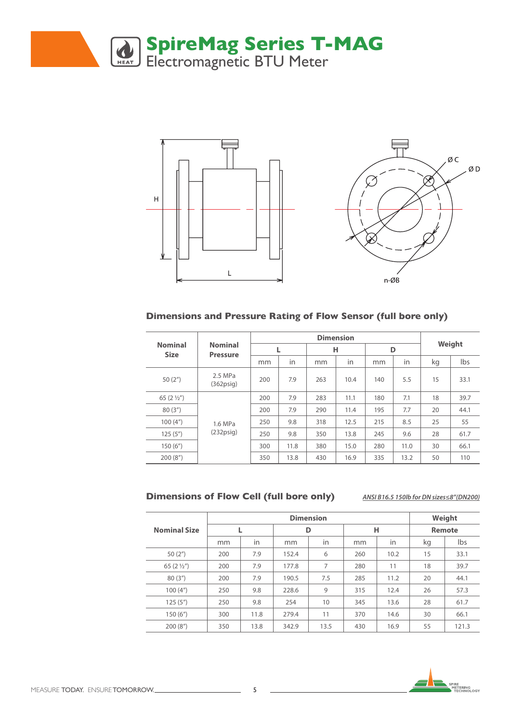



#### **Dimensions and Pressure Rating of Flow Sensor (full bore only)**

|                               |                                   |     |      |     | Weight |     |      |    |      |  |
|-------------------------------|-----------------------------------|-----|------|-----|--------|-----|------|----|------|--|
| <b>Nominal</b><br><b>Size</b> | <b>Nominal</b><br><b>Pressure</b> |     | L    | н   |        |     | D    |    |      |  |
|                               |                                   | mm  | in   | mm  | in     | mm  | in   | kg | Ibs  |  |
| 50(2 <sup>''</sup> )          | 2.5 MPa<br>$(362)$ psig           | 200 | 7.9  | 263 | 10.4   | 140 | 5.5  | 15 | 33.1 |  |
| 65 $(21/2)$                   |                                   | 200 | 7.9  | 283 | 11.1   | 180 | 7.1  | 18 | 39.7 |  |
| 80(3")                        |                                   | 200 | 7.9  | 290 | 11.4   | 195 | 7.7  | 20 | 44.1 |  |
| 100(4 <sup>''</sup> )         | 1.6 MPa                           | 250 | 9.8  | 318 | 12.5   | 215 | 8.5  | 25 | 55   |  |
| 125(5")                       | $(232)$ psig)                     | 250 | 9.8  | 350 | 13.8   | 245 | 9.6  | 28 | 61.7 |  |
| 150(6")                       |                                   | 300 | 11.8 | 380 | 15.0   | 280 | 11.0 | 30 | 66.1 |  |
| 200(8 <sup>''</sup> )         |                                   | 350 | 13.8 | 430 | 16.9   | 335 | 13.2 | 50 | 110  |  |

#### **Dimensions of Flow Cell (full bore only)**

*ANSI B16.5 150lb for DN sizes≤8"(DN200)*

|                       |          |      |       | Weight |     |      |               |       |  |
|-----------------------|----------|------|-------|--------|-----|------|---------------|-------|--|
| <b>Nominal Size</b>   |          |      |       | D      |     | н    | <b>Remote</b> |       |  |
|                       | in<br>mm |      | mm    | in     | mm  | in   | kg            | lbs   |  |
| 50 $(2'')$            | 200      | 7.9  | 152.4 | 6      | 260 | 10.2 | 15            | 33.1  |  |
| 65 $(2 \frac{1}{2})$  | 200      | 7.9  | 177.8 | 7      | 280 | 11   | 18            | 39.7  |  |
| 80(3")                | 200      | 7.9  | 190.5 | 7.5    | 285 | 11.2 | 20            | 44.1  |  |
| 100(4 <sup>''</sup> ) | 250      | 9.8  | 228.6 | 9      | 315 | 12.4 | 26            | 57.3  |  |
| 125(5")               | 250      | 9.8  | 254   | 10     | 345 | 13.6 | 28            | 61.7  |  |
| 150(6")               | 300      | 11.8 | 279.4 | 11     | 370 | 14.6 | 30            | 66.1  |  |
| 200(8")               | 350      | 13.8 | 342.9 | 13.5   | 430 | 16.9 | 55            | 121.3 |  |

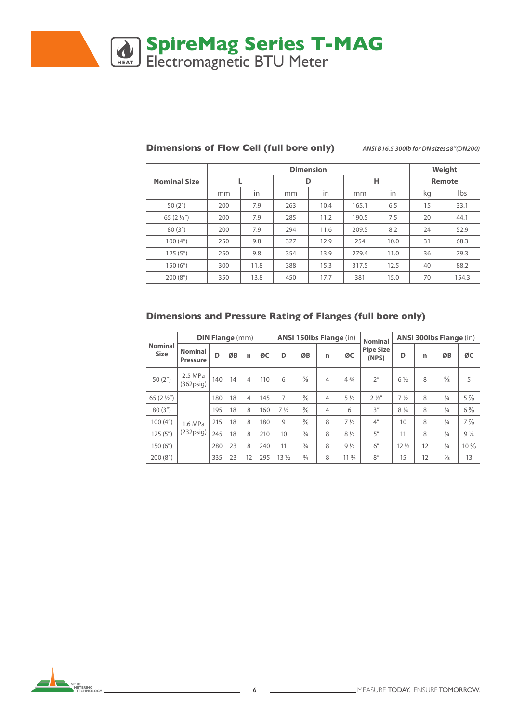

|                       |     |      |     | Weight |       |      |    |               |
|-----------------------|-----|------|-----|--------|-------|------|----|---------------|
| <b>Nominal Size</b>   |     |      |     | D      |       | н    |    | <b>Remote</b> |
|                       | mm  | in   | mm  | in     | mm    | in   | kg | lbs           |
| 50 $(2'')$            | 200 | 7.9  | 263 | 10.4   | 165.1 | 6.5  | 15 | 33.1          |
| 65 $(2\frac{1}{2})$   | 200 | 7.9  | 285 | 11.2   | 190.5 | 7.5  | 20 | 44.1          |
| 80(3")                | 200 | 7.9  | 294 | 11.6   | 209.5 | 8.2  | 24 | 52.9          |
| 100(4 <sup>''</sup> ) | 250 | 9.8  | 327 | 12.9   | 254   | 10.0 | 31 | 68.3          |
| 125(5")               | 250 | 9.8  | 354 | 13.9   | 279.4 | 11.0 | 36 | 79.3          |
| 150(6")               | 300 | 11.8 | 388 | 15.3   | 317.5 | 12.5 | 40 | 88.2          |
| 200(8")               | 350 | 13.8 | 450 | 17.7   | 381   | 15.0 | 70 | 154.3         |

#### **Dimensions of Flow Cell (full bore only)** *ANSI B16.5 300lb for DN sizes≤8"(DN200)*

#### **Dimensions and Pressure Rating of Flanges (full bore only)**

|                               |                                   | <b>DIN Flange (mm)</b> |    |                |     |                 |               | ANSI 150lbs Flange (in) | ANSI 300lbs Flange (in)        |                                             |                 |    |               |                               |
|-------------------------------|-----------------------------------|------------------------|----|----------------|-----|-----------------|---------------|-------------------------|--------------------------------|---------------------------------------------|-----------------|----|---------------|-------------------------------|
| <b>Nominal</b><br><b>Size</b> | <b>Nominal</b><br><b>Pressure</b> | D                      | ØB | n              | ØC  | D               | ØB            | n                       | ØC                             | <b>Nominal</b><br><b>Pipe Size</b><br>(NPS) | D               | n  | ØB            | ØC                            |
| 50(2 <sup>''</sup> )          | 2.5 MPa<br>$(362)$ psig)          | 140                    | 14 | 4              | 110 | 6               | $\frac{5}{8}$ | $\overline{4}$          | $4\frac{3}{4}$                 | 2 <sup>''</sup>                             | $6\frac{1}{2}$  | 8  | $\frac{5}{8}$ | 5                             |
| 65 $(2\frac{1}{2})$           |                                   | 180                    | 18 | $\overline{4}$ | 145 | 7               | $\frac{5}{8}$ | $\overline{4}$          | $5\frac{1}{2}$                 | $2\frac{1}{2}$                              | $7\frac{1}{2}$  | 8  | $\frac{3}{4}$ | $5\frac{7}{8}$                |
| 80(3")                        |                                   | 195                    | 18 | 8              | 160 | $7\frac{1}{2}$  | $\frac{5}{8}$ | $\overline{4}$          | 6                              | 3''                                         | $8\frac{1}{4}$  | 8  | $\frac{3}{4}$ | $6\frac{5}{8}$                |
| 100(4 <sup>''</sup> )         | 1.6 MPa                           | 215                    | 18 | 8              | 180 | 9               | $\frac{5}{8}$ | 8                       | $7\frac{1}{2}$                 | 4 <sup>''</sup>                             | 10              | 8  | $\frac{3}{4}$ | $7\frac{7}{8}$                |
| 125(5")                       | $(232)$ psig)                     | 245                    | 18 | 8              | 210 | 10              | $\frac{3}{4}$ | 8                       | $8\frac{1}{2}$                 | 5''                                         | 11              | 8  | $\frac{3}{4}$ | 9 <sup>1</sup> / <sub>4</sub> |
| 150(6")                       |                                   | 280                    | 23 | 8              | 240 | 11              | $\frac{3}{4}$ | 8                       | $9\frac{1}{2}$                 | 6''                                         | $12\frac{1}{2}$ | 12 | $\frac{3}{4}$ | $10\frac{5}{8}$               |
| 200(8")                       |                                   | 335                    | 23 | 12             | 295 | 13 <sub>2</sub> | $\frac{3}{4}$ | 8                       | 11 <sup>3</sup> / <sub>4</sub> | 8''                                         | 15              | 12 | $\frac{7}{8}$ | 13                            |

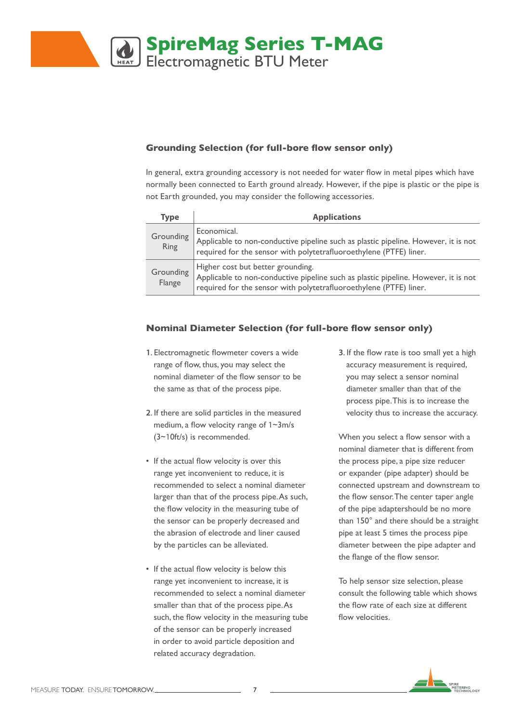

### **Grounding Selection (for full-bore flow sensor only)**

In general, extra grounding accessory is not needed for water flow in metal pipes which have normally been connected to Earth ground already. However, if the pipe is plastic or the pipe is not Earth grounded, you may consider the following accessories.

| <b>Type</b>         | <b>Applications</b>                                                                                                                                                                           |
|---------------------|-----------------------------------------------------------------------------------------------------------------------------------------------------------------------------------------------|
| Grounding<br>Ring   | Economical.<br>Applicable to non-conductive pipeline such as plastic pipeline. However, it is not<br>required for the sensor with polytetrafluoroethylene (PTFE) liner.                       |
| Grounding<br>Flange | Higher cost but better grounding.<br>Applicable to non-conductive pipeline such as plastic pipeline. However, it is not<br>required for the sensor with polytetrafluoroethylene (PTFE) liner. |

#### **Nominal Diameter Selection (for full-bore flow sensor only)**

- **1**. Electromagnetic flowmeter covers a wide range of flow, thus, you may select the nominal diameter of the flow sensor to be the same as that of the process pipe.
- **2**. If there are solid particles in the measured medium, a flow velocity range of 1~3m/s (3~10ft/s) is recommended.
- If the actual flow velocity is over this range yet inconvenient to reduce, it is recommended to select a nominal diameter larger than that of the process pipe. As such, the flow velocity in the measuring tube of the sensor can be properly decreased and the abrasion of electrode and liner caused by the particles can be alleviated.
- If the actual flow velocity is below this range yet inconvenient to increase, it is recommended to select a nominal diameter smaller than that of the process pipe. As such, the flow velocity in the measuring tube of the sensor can be properly increased in order to avoid particle deposition and related accuracy degradation.

**3**. If the flow rate is too small yet a high accuracy measurement is required, you may select a sensor nominal diameter smaller than that of the process pipe. This is to increase the velocity thus to increase the accuracy.

When you select a flow sensor with a nominal diameter that is different from the process pipe, a pipe size reducer or expander (pipe adapter) should be connected upstream and downstream to the flow sensor. The center taper angle of the pipe adaptershould be no more than 150° and there should be a straight pipe at least 5 times the process pipe diameter between the pipe adapter and the flange of the flow sensor.

To help sensor size selection, please consult the following table which shows the flow rate of each size at different flow velocities.

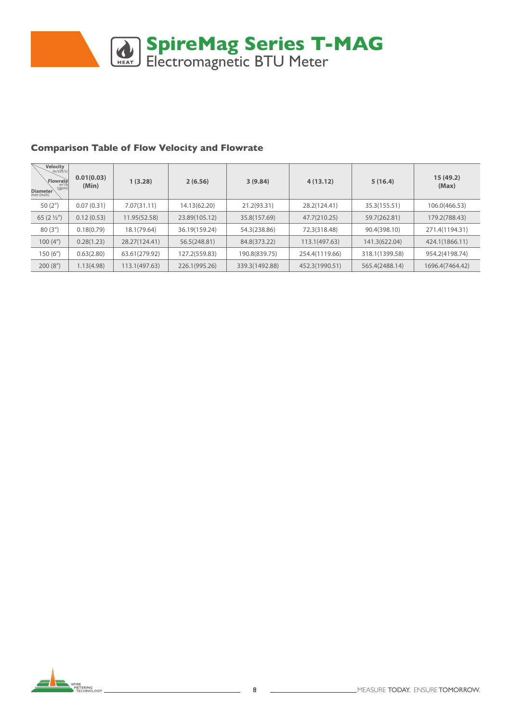

#### **Comparison Table of Flow Velocity and Flowrate**

| $\underbrace{\text{Velocity}}_{m/s(\text{ft/s})}$<br>Flowratel<br>$m^3$ /h<br>(gpm)<br>Diameter | 0.01(0.03)<br>(Min) | 1(3.28)       | 2(6.56)       | 3(9.84)        | 4(13.12)       | 5(16.4)        | 15(49.2)<br>(Max) |
|-------------------------------------------------------------------------------------------------|---------------------|---------------|---------------|----------------|----------------|----------------|-------------------|
| 50 $(2'')$                                                                                      | 0.07(0.31)          | 7.07(31.11)   | 14.13(62.20)  | 21.2(93.31)    | 28.2(124.41)   | 35.3(155.51)   | 106.0(466.53)     |
| 65 $(2\frac{1}{2})$                                                                             | 0.12(0.53)          | 11.95(52.58)  | 23.89(105.12) | 35.8(157.69)   | 47.7(210.25)   | 59.7(262.81)   | 179.2(788.43)     |
| 80(3")                                                                                          | 0.18(0.79)          | 18.1(79.64)   | 36.19(159.24) | 54.3(238.86)   | 72.3(318.48)   | 90.4(398.10)   | 271.4(1194.31)    |
| 100(4 <sup>''</sup> )                                                                           | 0.28(1.23)          | 28.27(124.41) | 56.5(248.81)  | 84.8(373.22)   | 113.1(497.63)  | 141.3(622.04)  | 424.1(1866.11)    |
| 150(6")                                                                                         | 0.63(2.80)          | 63.61(279.92) | 127.2(559.83) | 190.8(839.75)  | 254.4(1119.66) | 318.1(1399.58) | 954.2(4198.74)    |
| 200(8 <sup>''</sup> )                                                                           | 1.13(4.98)          | 113.1(497.63) | 226.1(995.26) | 339.3(1492.88) | 452.3(1990.51) | 565.4(2488.14) | 1696.4(7464.42)   |

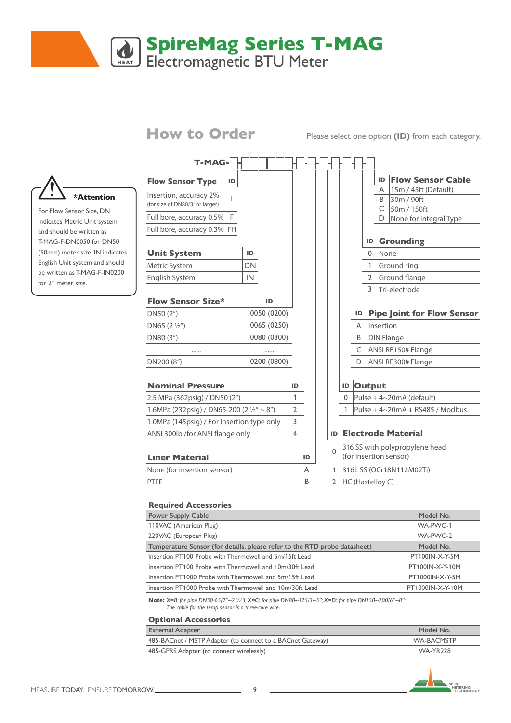## **SpireMag Series T-MAG** Electromagnetic BTU Meter

**How to Order** Please select one option **(ID)** from each category.



For Flow Sensor Size, DN indicates Metric Unit system and should be written as T-MAG-F-DN0050 for DN50 (50mm) meter size. IN indicates English Unit system and should be written as T-MAG-F-IN0200 for 2" meter size.

| <b>T-MAG-</b>                              |    |    |             |                |    |    |              |                          |    |                  |           |                                                          |
|--------------------------------------------|----|----|-------------|----------------|----|----|--------------|--------------------------|----|------------------|-----------|----------------------------------------------------------|
| <b>Flow Sensor Type</b>                    | ID |    |             |                |    |    |              |                          |    |                  | ID        | <b>Flow Sensor Cable</b>                                 |
| Insertion, accuracy 2%                     |    |    |             |                |    |    |              |                          |    |                  | A         | 15m / 45ft (Default)                                     |
| (for size of DN80/3" or larger)            | L  |    |             |                |    |    |              |                          |    |                  |           | B 30m / 90ft                                             |
| Full bore, accuracy 0.5%                   | F. |    |             |                |    |    |              |                          |    |                  | D.        | $C$ 50m / 150ft<br>None for Integral Type                |
| Full bore, accuracy 0.3% FH                |    |    |             |                |    |    |              |                          |    |                  |           |                                                          |
|                                            |    |    |             |                |    |    |              |                          |    | ID               |           | <b>Grounding</b>                                         |
| <b>Unit System</b>                         |    | ID |             |                |    |    |              |                          |    | $\Omega$         | None      |                                                          |
| Metric System                              |    | DN |             |                |    |    |              |                          |    | $\mathbf{1}$     |           | Ground ring                                              |
| English System                             |    | IN |             |                |    |    |              |                          |    | $\overline{2}$   |           | Ground flange                                            |
|                                            |    |    |             |                |    |    |              |                          |    | 3                |           | Tri-electrode                                            |
| <b>Flow Sensor Size*</b>                   |    |    | ID          |                |    |    |              |                          |    |                  |           |                                                          |
| DN50 (2")                                  |    |    | 0050 (0200) |                |    |    |              |                          | ID |                  |           | <b>Pipe Joint for Flow Sensor</b>                        |
| $DN65 (2 \frac{1}{2}")$                    |    |    | 0065 (0250) |                |    |    |              |                          | A  |                  | Insertion |                                                          |
| DN80 (3")                                  |    |    | 0080 (0300) |                |    |    |              |                          | B  |                  |           | <b>DIN Flange</b>                                        |
|                                            |    |    |             |                |    |    |              |                          | C  |                  |           | <b>ANSI RF150# Flange</b>                                |
| DN200 (8")                                 |    |    | 0200 (0800) |                |    |    |              |                          | D  |                  |           | ANSI RF300# Flange                                       |
|                                            |    |    |             |                |    |    |              |                          |    |                  |           |                                                          |
| <b>Nominal Pressure</b>                    |    |    |             |                | ID |    |              |                          |    | <b>ID Output</b> |           |                                                          |
| 2.5 MPa (362psig) / DN50 (2")              |    |    |             |                | 1  |    |              |                          |    |                  |           | 0   Pulse + $4 \sim 20$ mA (default)                     |
| 1.6MPa (232psig) / DN65-200 (2 1/2" ~ 8")  |    |    |             | $\mathbf{2}$   |    |    |              |                          |    |                  |           | Pulse + $4 \sim 20mA + RS485$ / Modbus                   |
| 1.0MPa (145psig) / For Insertion type only |    |    |             | 3              |    |    |              |                          |    |                  |           |                                                          |
| ANSI 300lb /for ANSI flange only           |    |    |             | $\overline{4}$ |    |    |              |                          |    |                  |           | <b>ID Electrode Material</b>                             |
| <b>Liner Material</b>                      |    |    |             |                |    | ID | $\Omega$     |                          |    |                  |           | 316 SS with polypropylene head<br>(for insertion sensor) |
| None (for insertion sensor)                |    |    |             |                |    | A  | $\mathbf{1}$ | 316L SS (OCr18N112M02Ti) |    |                  |           |                                                          |
| PTFE                                       |    |    |             |                |    | B  | 2            |                          |    | HC (Hastelloy C) |           |                                                          |
|                                            |    |    |             |                |    |    |              |                          |    |                  |           |                                                          |

#### **Required Accessories**

| <b>Power Supply Cable</b>                                                 | Model No.        |
|---------------------------------------------------------------------------|------------------|
| 110VAC (American Plug)                                                    | WA-PWC-1         |
| 220VAC (European Plug)                                                    | WA-PWC-2         |
| Temperature Sensor (for details, please refer to the RTD probe datasheet) | Model No.        |
| Insertion PT100 Probe with Thermowell and 5m/15ft Lead                    | PT100IN-X-Y-5M   |
| Insertion PT100 Probe with Thermowell and 10m/30ft Lead                   | PT100IN-X-Y-10M  |
| Insertion PT1000 Probe with Thermowell and 5m/15ft Lead                   | PT1000IN-X-Y-5M  |
| Insertion PT1000 Probe with Thermowell and 10m/30ft Lead                  | PT1000IN-X-Y-10M |
|                                                                           |                  |

*Note: X=B: for pipe DN50-65(2"~2* 1/2*"); X=C: for pipe DN80~125/3~5"; X=D: for pipe DN150~200/6"~8"; The cable for the temp sensor is a three-core wire.*

| <b>Optional Accessories</b>                                |            |  |  |  |  |  |  |  |  |
|------------------------------------------------------------|------------|--|--|--|--|--|--|--|--|
| <b>External Adapter</b>                                    | Model No.  |  |  |  |  |  |  |  |  |
| 485-BACnet / MSTP Adapter (to connect to a BACnet Gateway) | WA-BACMSTP |  |  |  |  |  |  |  |  |
| 485-GPRS Adapter (to connect wirelessly)                   | WA-YR228   |  |  |  |  |  |  |  |  |

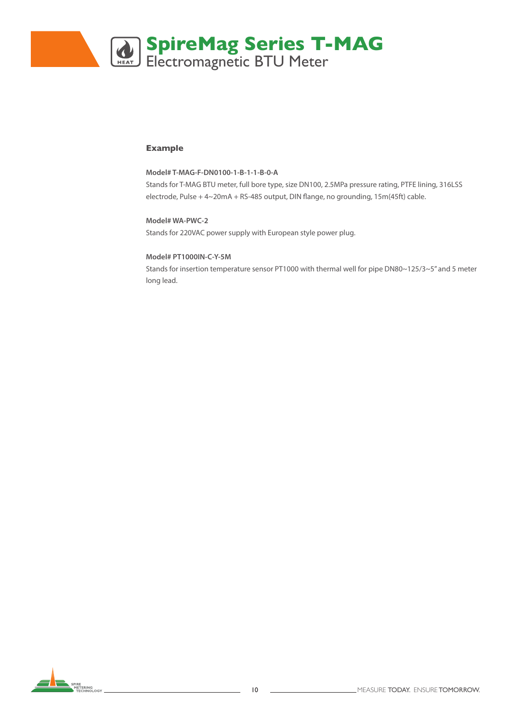

#### **Example**

#### **Model# T-MAG-F-DN0100-1-B-1-1-B-0-A**

Stands for T-MAG BTU meter, full bore type, size DN100, 2.5MPa pressure rating, PTFE lining, 316LSS electrode, Pulse + 4~20mA + RS-485 output, DIN flange, no grounding, 15m(45ft) cable.

#### **Model# WA-PWC-2** Stands for 220VAC power supply with European style power plug.

#### **Model# PT1000IN-C-Y-5M**

Stands for insertion temperature sensor PT1000 with thermal well for pipe DN80~125/3~5" and 5 meter long lead.

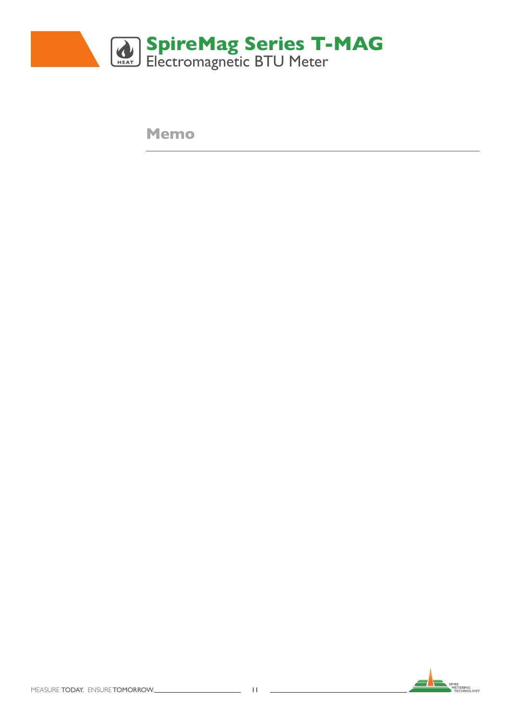

**Memo**